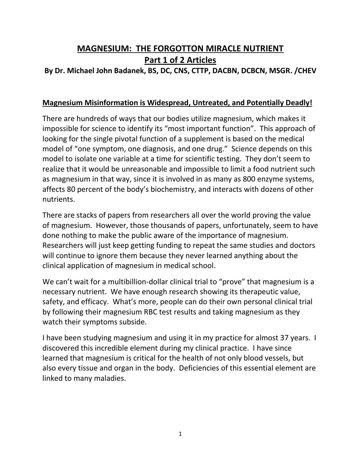# **MAGNESIUM: THE FORGOTTON MIRACLE NUTRIENT Part 1 of 2 Articles**

## **By Dr. Michael John Badanek, BS, DC, CNS, CTTP, DACBN, DCBCN, MSGR. /CHEV**

#### **Magnesium Misinformation is Widespread, Untreated, and Potentially Deadly!**

There are hundreds of ways that our bodies utilize magnesium, which makes it impossible for science to identify its "most important function". This approach of looking for the single pivotal function of a supplement is based on the medical model of "one symptom, one diagnosis, and one drug." Science depends on this model to isolate one variable at a time for scientific testing. They don't seem to realize that it would be unreasonable and impossible to limit a food nutrient such as magnesium in that way, since it is involved in as many as 800 enzyme systems, affects 80 percent of the body's biochemistry, and interacts with dozens of other nutrients.

There are stacks of papers from researchers all over the world proving the value of magnesium. However, those thousands of papers, unfortunately, seem to have done nothing to make the public aware of the importance of magnesium. Researchers will just keep getting funding to repeat the same studies and doctors will continue to ignore them because they never learned anything about the clinical application of magnesium in medical school.

We can't wait for a multibillion-dollar clinical trial to "prove" that magnesium is a necessary nutrient. We have enough research showing its therapeutic value, safety, and efficacy. What's more, people can do their own personal clinical trial by following their magnesium RBC test results and taking magnesium as they watch their symptoms subside.

I have been studying magnesium and using it in my practice for almost 37 years. I discovered this incredible element during my clinical practice. I have since learned that magnesium is critical for the health of not only blood vessels, but also every tissue and organ in the body. Deficiencies of this essential element are linked to many maladies.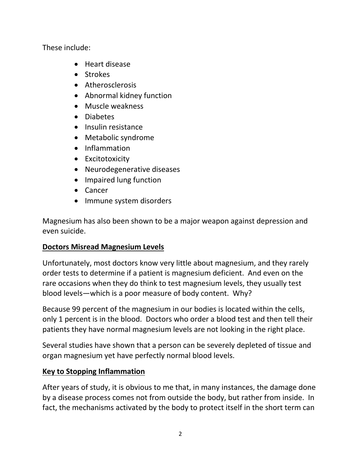These include:

- Heart disease
- Strokes
- Atherosclerosis
- Abnormal kidney function
- Muscle weakness
- Diabetes
- Insulin resistance
- Metabolic syndrome
- Inflammation
- **•** Excitotoxicity
- Neurodegenerative diseases
- Impaired lung function
- Cancer
- Immune system disorders

Magnesium has also been shown to be a major weapon against depression and even suicide.

## **Doctors Misread Magnesium Levels**

Unfortunately, most doctors know very little about magnesium, and they rarely order tests to determine if a patient is magnesium deficient. And even on the rare occasions when they do think to test magnesium levels, they usually test blood levels—which is a poor measure of body content. Why?

Because 99 percent of the magnesium in our bodies is located within the cells, only 1 percent is in the blood. Doctors who order a blood test and then tell their patients they have normal magnesium levels are not looking in the right place.

Several studies have shown that a person can be severely depleted of tissue and organ magnesium yet have perfectly normal blood levels.

## **Key to Stopping Inflammation**

After years of study, it is obvious to me that, in many instances, the damage done by a disease process comes not from outside the body, but rather from inside. In fact, the mechanisms activated by the body to protect itself in the short term can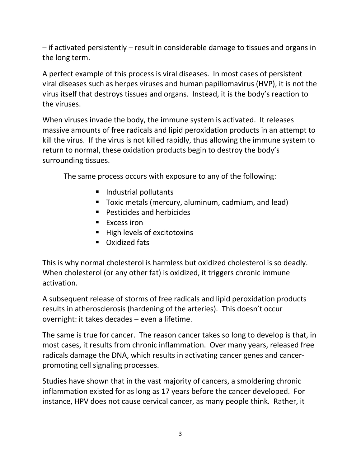– if activated persistently – result in considerable damage to tissues and organs in the long term.

A perfect example of this process is viral diseases. In most cases of persistent viral diseases such as herpes viruses and human papillomavirus (HVP), it is not the virus itself that destroys tissues and organs. Instead, it is the body's reaction to the viruses.

When viruses invade the body, the immune system is activated. It releases massive amounts of free radicals and lipid peroxidation products in an attempt to kill the virus. If the virus is not killed rapidly, thus allowing the immune system to return to normal, these oxidation products begin to destroy the body's surrounding tissues.

The same process occurs with exposure to any of the following:

- Industrial pollutants
- **Toxic metals (mercury, aluminum, cadmium, and lead)**
- **Pesticides and herbicides**
- $\blacksquare$  Excess iron
- High levels of excitotoxins
- **Calculated fats**

This is why normal cholesterol is harmless but oxidized cholesterol is so deadly. When cholesterol (or any other fat) is oxidized, it triggers chronic immune activation.

A subsequent release of storms of free radicals and lipid peroxidation products results in atherosclerosis (hardening of the arteries). This doesn't occur overnight: it takes decades – even a lifetime.

The same is true for cancer. The reason cancer takes so long to develop is that, in most cases, it results from chronic inflammation. Over many years, released free radicals damage the DNA, which results in activating cancer genes and cancerpromoting cell signaling processes.

Studies have shown that in the vast majority of cancers, a smoldering chronic inflammation existed for as long as 17 years before the cancer developed. For instance, HPV does not cause cervical cancer, as many people think. Rather, it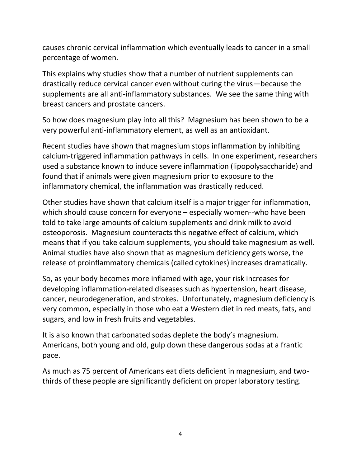causes chronic cervical inflammation which eventually leads to cancer in a small percentage of women.

This explains why studies show that a number of nutrient supplements can drastically reduce cervical cancer even without curing the virus—because the supplements are all anti-inflammatory substances. We see the same thing with breast cancers and prostate cancers.

So how does magnesium play into all this? Magnesium has been shown to be a very powerful anti-inflammatory element, as well as an antioxidant.

Recent studies have shown that magnesium stops inflammation by inhibiting calcium-triggered inflammation pathways in cells. In one experiment, researchers used a substance known to induce severe inflammation (lipopolysaccharide) and found that if animals were given magnesium prior to exposure to the inflammatory chemical, the inflammation was drastically reduced.

Other studies have shown that calcium itself is a major trigger for inflammation, which should cause concern for everyone – especially women--who have been told to take large amounts of calcium supplements and drink milk to avoid osteoporosis. Magnesium counteracts this negative effect of calcium, which means that if you take calcium supplements, you should take magnesium as well. Animal studies have also shown that as magnesium deficiency gets worse, the release of proinflammatory chemicals (called cytokines) increases dramatically.

So, as your body becomes more inflamed with age, your risk increases for developing inflammation-related diseases such as hypertension, heart disease, cancer, neurodegeneration, and strokes. Unfortunately, magnesium deficiency is very common, especially in those who eat a Western diet in red meats, fats, and sugars, and low in fresh fruits and vegetables.

It is also known that carbonated sodas deplete the body's magnesium. Americans, both young and old, gulp down these dangerous sodas at a frantic pace.

As much as 75 percent of Americans eat diets deficient in magnesium, and twothirds of these people are significantly deficient on proper laboratory testing.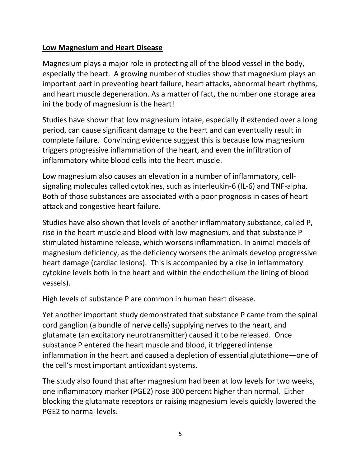#### **Low Magnesium and Heart Disease**

Magnesium plays a major role in protecting all of the blood vessel in the body, especially the heart. A growing number of studies show that magnesium plays an important part in preventing heart failure, heart attacks, abnormal heart rhythms, and heart muscle degeneration. As a matter of fact, the number one storage area ini the body of magnesium is the heart!

Studies have shown that low magnesium intake, especially if extended over a long period, can cause significant damage to the heart and can eventually result in complete failure. Convincing evidence suggest this is because low magnesium triggers progressive inflammation of the heart, and even the infiltration of inflammatory white blood cells into the heart muscle.

Low magnesium also causes an elevation in a number of inflammatory, cellsignaling molecules called cytokines, such as interleukin-6 (IL-6) and TNF-alpha. Both of those substances are associated with a poor prognosis in cases of heart attack and congestive heart failure.

Studies have also shown that levels of another inflammatory substance, called P, rise in the heart muscle and blood with low magnesium, and that substance P stimulated histamine release, which worsens inflammation. In animal models of magnesium deficiency, as the deficiency worsens the animals develop progressive heart damage (cardiac lesions). This is accompanied by a rise in inflammatory cytokine levels both in the heart and within the endothelium the lining of blood vessels).

High levels of substance P are common in human heart disease.

Yet another important study demonstrated that substance P came from the spinal cord ganglion (a bundle of nerve cells) supplying nerves to the heart, and glutamate (an excitatory neurotransmitter) caused it to be released. Once substance P entered the heart muscle and blood, it triggered intense inflammation in the heart and caused a depletion of essential glutathione—one of the cell's most important antioxidant systems.

The study also found that after magnesium had been at low levels for two weeks, one inflammatory marker (PGE2) rose 300 percent higher than normal. Either blocking the glutamate receptors or raising magnesium levels quickly lowered the PGE2 to normal levels.